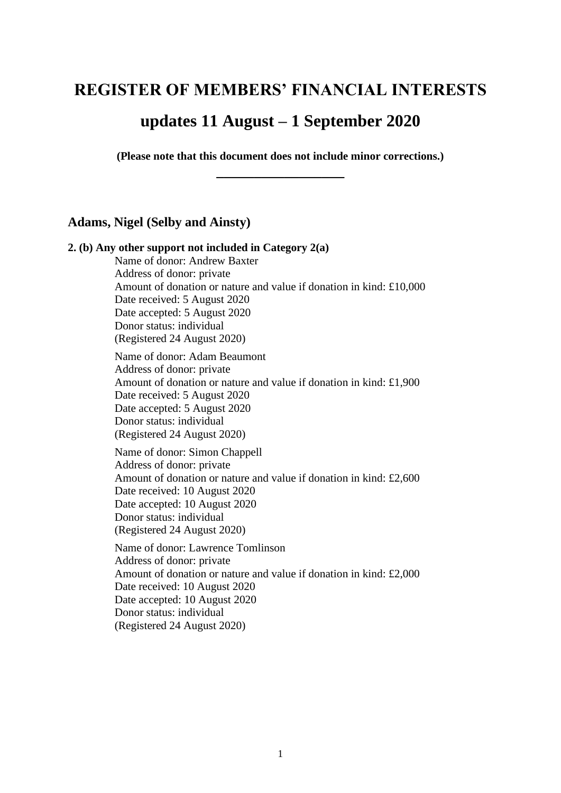# **REGISTER OF MEMBERS' FINANCIAL INTERESTS**

# **updates 11 August – 1 September 2020**

**(Please note that this document does not include minor corrections.) \_\_\_\_\_\_\_\_\_\_\_\_\_\_\_\_\_**

# **Adams, Nigel (Selby and Ainsty)**

**2. (b) Any other support not included in Category 2(a)** Name of donor: Andrew Baxter Address of donor: private Amount of donation or nature and value if donation in kind: £10,000 Date received: 5 August 2020 Date accepted: 5 August 2020 Donor status: individual (Registered 24 August 2020) Name of donor: Adam Beaumont Address of donor: private Amount of donation or nature and value if donation in kind: £1,900 Date received: 5 August 2020 Date accepted: 5 August 2020 Donor status: individual (Registered 24 August 2020) Name of donor: Simon Chappell Address of donor: private Amount of donation or nature and value if donation in kind: £2,600 Date received: 10 August 2020 Date accepted: 10 August 2020 Donor status: individual (Registered 24 August 2020) Name of donor: Lawrence Tomlinson Address of donor: private Amount of donation or nature and value if donation in kind: £2,000 Date received: 10 August 2020 Date accepted: 10 August 2020 Donor status: individual (Registered 24 August 2020)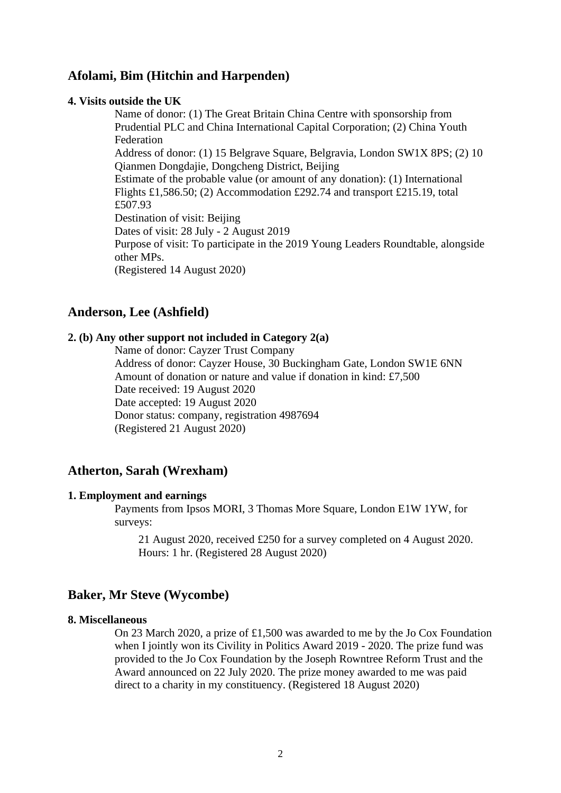# **Afolami, Bim (Hitchin and Harpenden)**

### **4. Visits outside the UK**

Name of donor: (1) The Great Britain China Centre with sponsorship from Prudential PLC and China International Capital Corporation; (2) China Youth Federation Address of donor: (1) 15 Belgrave Square, Belgravia, London SW1X 8PS; (2) 10 Qianmen Dongdajie, Dongcheng District, Beijing Estimate of the probable value (or amount of any donation): (1) International Flights £1,586.50; (2) Accommodation £292.74 and transport £215.19, total £507.93 Destination of visit: Beijing Dates of visit: 28 July - 2 August 2019 Purpose of visit: To participate in the 2019 Young Leaders Roundtable, alongside other MPs. (Registered 14 August 2020)

# **Anderson, Lee (Ashfield)**

## **2. (b) Any other support not included in Category 2(a)**

Name of donor: Cayzer Trust Company Address of donor: Cayzer House, 30 Buckingham Gate, London SW1E 6NN Amount of donation or nature and value if donation in kind: £7,500 Date received: 19 August 2020 Date accepted: 19 August 2020 Donor status: company, registration 4987694 (Registered 21 August 2020)

# **Atherton, Sarah (Wrexham)**

### **1. Employment and earnings**

Payments from Ipsos MORI, 3 Thomas More Square, London E1W 1YW, for surveys:

21 August 2020, received £250 for a survey completed on 4 August 2020. Hours: 1 hr. (Registered 28 August 2020)

# **Baker, Mr Steve (Wycombe)**

# **8. Miscellaneous**

On 23 March 2020, a prize of £1,500 was awarded to me by the Jo Cox Foundation when I jointly won its Civility in Politics Award 2019 - 2020. The prize fund was provided to the Jo Cox Foundation by the Joseph Rowntree Reform Trust and the Award announced on 22 July 2020. The prize money awarded to me was paid direct to a charity in my constituency. (Registered 18 August 2020)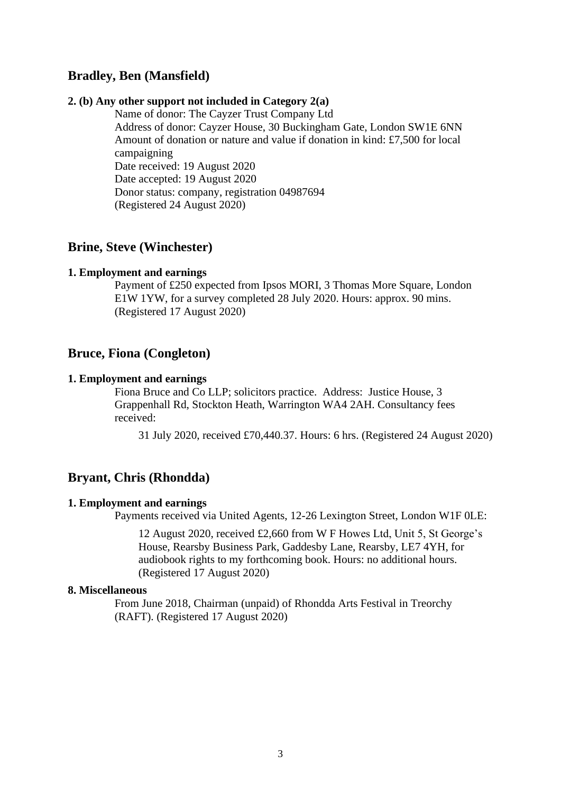# **Bradley, Ben (Mansfield)**

#### **2. (b) Any other support not included in Category 2(a)**

Name of donor: The Cayzer Trust Company Ltd Address of donor: Cayzer House, 30 Buckingham Gate, London SW1E 6NN Amount of donation or nature and value if donation in kind: £7,500 for local campaigning Date received: 19 August 2020 Date accepted: 19 August 2020 Donor status: company, registration 04987694 (Registered 24 August 2020)

## **Brine, Steve (Winchester)**

### **1. Employment and earnings**

Payment of £250 expected from Ipsos MORI, 3 Thomas More Square, London E1W 1YW, for a survey completed 28 July 2020. Hours: approx. 90 mins. (Registered 17 August 2020)

# **Bruce, Fiona (Congleton)**

#### **1. Employment and earnings**

Fiona Bruce and Co LLP; solicitors practice. Address: Justice House, 3 Grappenhall Rd, Stockton Heath, Warrington WA4 2AH. Consultancy fees received:

31 July 2020, received £70,440.37. Hours: 6 hrs. (Registered 24 August 2020)

## **Bryant, Chris (Rhondda)**

#### **1. Employment and earnings**

Payments received via United Agents, 12-26 Lexington Street, London W1F 0LE:

12 August 2020, received £2,660 from W F Howes Ltd, Unit 5, St George's House, Rearsby Business Park, Gaddesby Lane, Rearsby, LE7 4YH, for audiobook rights to my forthcoming book. Hours: no additional hours. (Registered 17 August 2020)

#### **8. Miscellaneous**

From June 2018, Chairman (unpaid) of Rhondda Arts Festival in Treorchy (RAFT). (Registered 17 August 2020)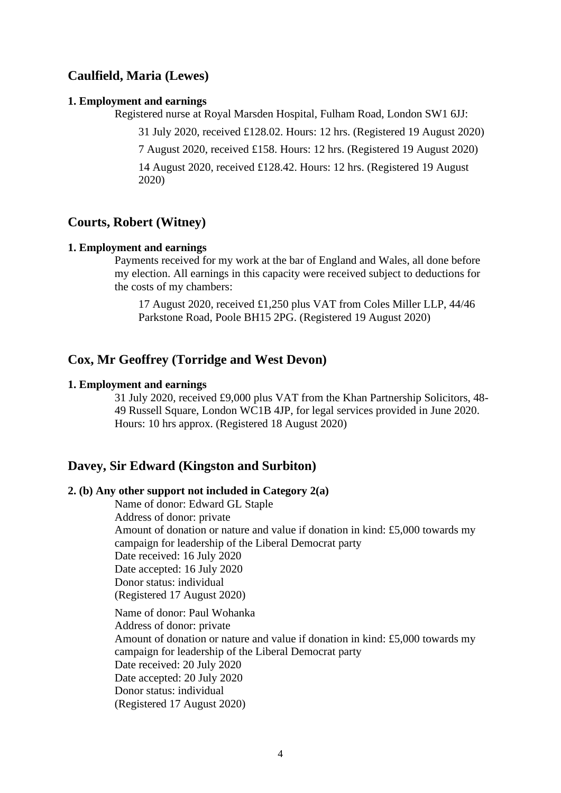# **Caulfield, Maria (Lewes)**

#### **1. Employment and earnings**

Registered nurse at Royal Marsden Hospital, Fulham Road, London SW1 6JJ:

31 July 2020, received £128.02. Hours: 12 hrs. (Registered 19 August 2020)

7 August 2020, received £158. Hours: 12 hrs. (Registered 19 August 2020)

14 August 2020, received £128.42. Hours: 12 hrs. (Registered 19 August 2020)

# **Courts, Robert (Witney)**

### **1. Employment and earnings**

Payments received for my work at the bar of England and Wales, all done before my election. All earnings in this capacity were received subject to deductions for the costs of my chambers:

17 August 2020, received £1,250 plus VAT from Coles Miller LLP, 44/46 Parkstone Road, Poole BH15 2PG. (Registered 19 August 2020)

# **Cox, Mr Geoffrey (Torridge and West Devon)**

#### **1. Employment and earnings**

31 July 2020, received £9,000 plus VAT from the Khan Partnership Solicitors, 48- 49 Russell Square, London WC1B 4JP, for legal services provided in June 2020. Hours: 10 hrs approx. (Registered 18 August 2020)

## **Davey, Sir Edward (Kingston and Surbiton)**

#### **2. (b) Any other support not included in Category 2(a)**

Name of donor: Edward GL Staple Address of donor: private Amount of donation or nature and value if donation in kind: £5,000 towards my campaign for leadership of the Liberal Democrat party Date received: 16 July 2020 Date accepted: 16 July 2020 Donor status: individual (Registered 17 August 2020)

Name of donor: Paul Wohanka Address of donor: private Amount of donation or nature and value if donation in kind: £5,000 towards my campaign for leadership of the Liberal Democrat party Date received: 20 July 2020 Date accepted: 20 July 2020 Donor status: individual (Registered 17 August 2020)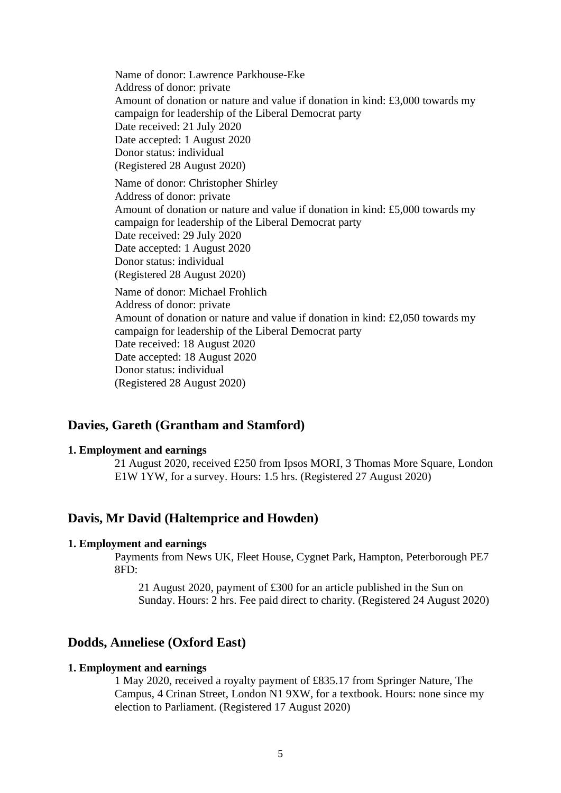Name of donor: Lawrence Parkhouse-Eke Address of donor: private Amount of donation or nature and value if donation in kind: £3,000 towards my campaign for leadership of the Liberal Democrat party Date received: 21 July 2020 Date accepted: 1 August 2020 Donor status: individual (Registered 28 August 2020) Name of donor: Christopher Shirley Address of donor: private Amount of donation or nature and value if donation in kind: £5,000 towards my campaign for leadership of the Liberal Democrat party Date received: 29 July 2020 Date accepted: 1 August 2020 Donor status: individual (Registered 28 August 2020) Name of donor: Michael Frohlich Address of donor: private Amount of donation or nature and value if donation in kind: £2,050 towards my campaign for leadership of the Liberal Democrat party

Date received: 18 August 2020

Date accepted: 18 August 2020

Donor status: individual

(Registered 28 August 2020)

# **Davies, Gareth (Grantham and Stamford)**

## **1. Employment and earnings**

21 August 2020, received £250 from Ipsos MORI, 3 Thomas More Square, London E1W 1YW, for a survey. Hours: 1.5 hrs. (Registered 27 August 2020)

# **Davis, Mr David (Haltemprice and Howden)**

#### **1. Employment and earnings**

Payments from News UK, Fleet House, Cygnet Park, Hampton, Peterborough PE7 8FD:

21 August 2020, payment of £300 for an article published in the Sun on Sunday. Hours: 2 hrs. Fee paid direct to charity. (Registered 24 August 2020)

# **Dodds, Anneliese (Oxford East)**

#### **1. Employment and earnings**

1 May 2020, received a royalty payment of £835.17 from Springer Nature, The Campus, 4 Crinan Street, London N1 9XW, for a textbook. Hours: none since my election to Parliament. (Registered 17 August 2020)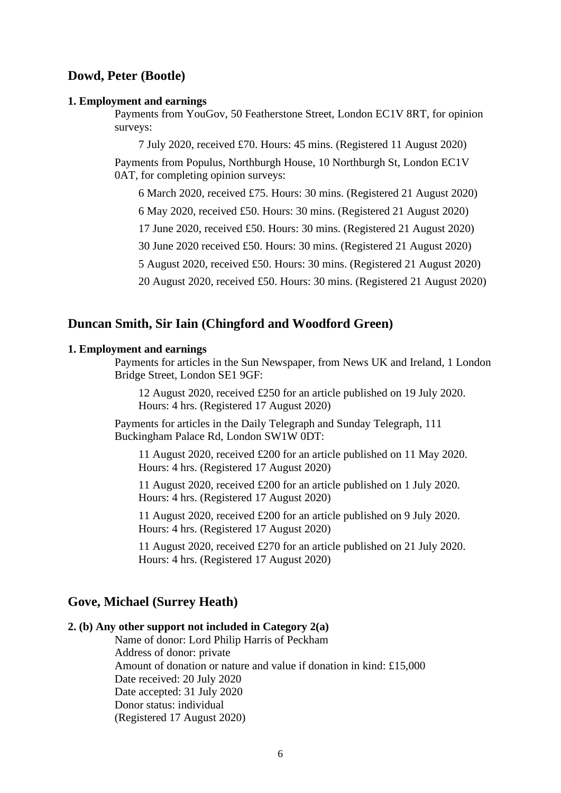# **Dowd, Peter (Bootle)**

#### **1. Employment and earnings**

Payments from YouGov, 50 Featherstone Street, London EC1V 8RT, for opinion surveys:

7 July 2020, received £70. Hours: 45 mins. (Registered 11 August 2020)

Payments from Populus, Northburgh House, 10 Northburgh St, London EC1V 0AT, for completing opinion surveys:

6 March 2020, received £75. Hours: 30 mins. (Registered 21 August 2020)

6 May 2020, received £50. Hours: 30 mins. (Registered 21 August 2020)

17 June 2020, received £50. Hours: 30 mins. (Registered 21 August 2020)

30 June 2020 received £50. Hours: 30 mins. (Registered 21 August 2020)

5 August 2020, received £50. Hours: 30 mins. (Registered 21 August 2020)

20 August 2020, received £50. Hours: 30 mins. (Registered 21 August 2020)

### **Duncan Smith, Sir Iain (Chingford and Woodford Green)**

#### **1. Employment and earnings**

Payments for articles in the Sun Newspaper, from News UK and Ireland, 1 London Bridge Street, London SE1 9GF:

12 August 2020, received £250 for an article published on 19 July 2020. Hours: 4 hrs. (Registered 17 August 2020)

Payments for articles in the Daily Telegraph and Sunday Telegraph, 111 Buckingham Palace Rd, London SW1W 0DT:

11 August 2020, received £200 for an article published on 11 May 2020. Hours: 4 hrs. (Registered 17 August 2020)

11 August 2020, received £200 for an article published on 1 July 2020. Hours: 4 hrs. (Registered 17 August 2020)

11 August 2020, received £200 for an article published on 9 July 2020. Hours: 4 hrs. (Registered 17 August 2020)

11 August 2020, received £270 for an article published on 21 July 2020. Hours: 4 hrs. (Registered 17 August 2020)

### **Gove, Michael (Surrey Heath)**

# **2. (b) Any other support not included in Category 2(a)**

Name of donor: Lord Philip Harris of Peckham Address of donor: private Amount of donation or nature and value if donation in kind: £15,000 Date received: 20 July 2020 Date accepted: 31 July 2020 Donor status: individual (Registered 17 August 2020)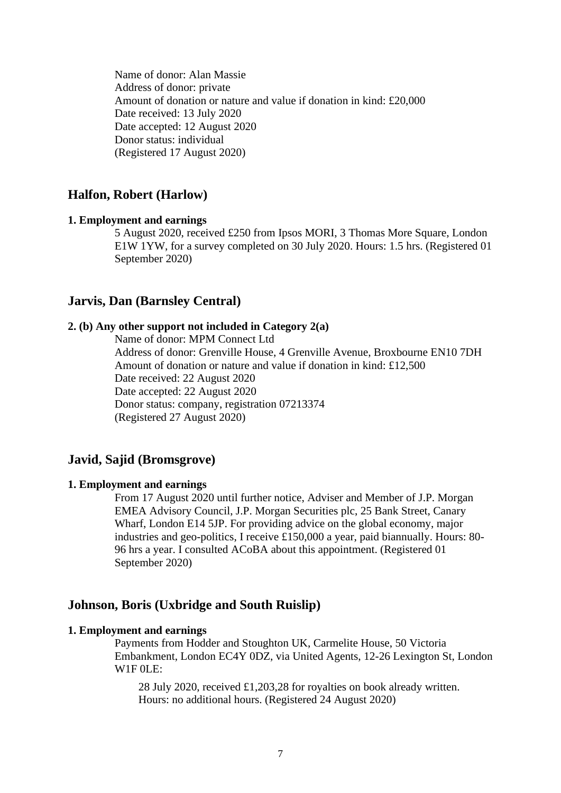Name of donor: Alan Massie Address of donor: private Amount of donation or nature and value if donation in kind: £20,000 Date received: 13 July 2020 Date accepted: 12 August 2020 Donor status: individual (Registered 17 August 2020)

# **Halfon, Robert (Harlow)**

### **1. Employment and earnings**

5 August 2020, received £250 from Ipsos MORI, 3 Thomas More Square, London E1W 1YW, for a survey completed on 30 July 2020. Hours: 1.5 hrs. (Registered 01 September 2020)

## **Jarvis, Dan (Barnsley Central)**

### **2. (b) Any other support not included in Category 2(a)**

Name of donor: MPM Connect Ltd Address of donor: Grenville House, 4 Grenville Avenue, Broxbourne EN10 7DH Amount of donation or nature and value if donation in kind: £12,500 Date received: 22 August 2020 Date accepted: 22 August 2020 Donor status: company, registration 07213374 (Registered 27 August 2020)

# **Javid, Sajid (Bromsgrove)**

### **1. Employment and earnings**

From 17 August 2020 until further notice, Adviser and Member of J.P. Morgan EMEA Advisory Council, J.P. Morgan Securities plc, 25 Bank Street, Canary Wharf, London E14 5JP. For providing advice on the global economy, major industries and geo-politics, I receive £150,000 a year, paid biannually. Hours: 80- 96 hrs a year. I consulted ACoBA about this appointment. (Registered 01 September 2020)

# **Johnson, Boris (Uxbridge and South Ruislip)**

### **1. Employment and earnings**

Payments from Hodder and Stoughton UK, Carmelite House, 50 Victoria Embankment, London EC4Y 0DZ, via United Agents, 12-26 Lexington St, London W1F 0LE:

28 July 2020, received £1,203,28 for royalties on book already written. Hours: no additional hours. (Registered 24 August 2020)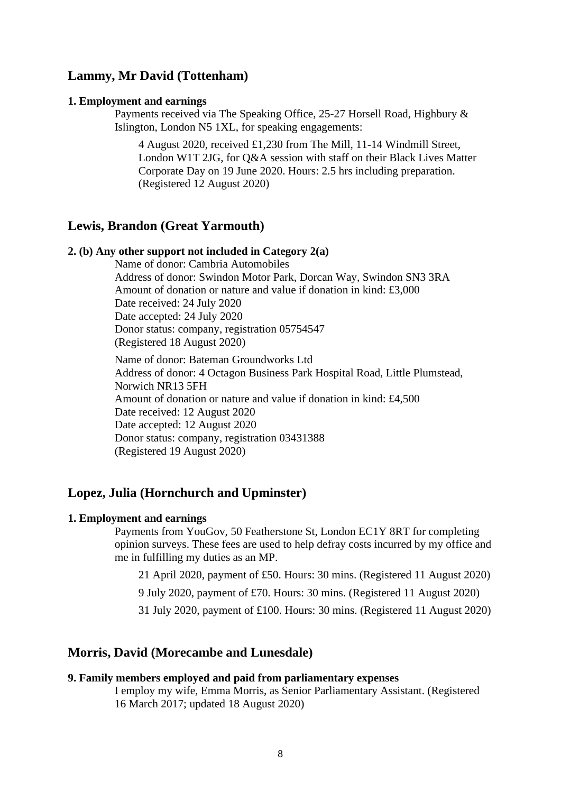# **Lammy, Mr David (Tottenham)**

#### **1. Employment and earnings**

Payments received via The Speaking Office, 25-27 Horsell Road, Highbury & Islington, London N5 1XL, for speaking engagements:

4 August 2020, received £1,230 from The Mill, 11-14 Windmill Street, London W1T 2JG, for Q&A session with staff on their Black Lives Matter Corporate Day on 19 June 2020. Hours: 2.5 hrs including preparation. (Registered 12 August 2020)

# **Lewis, Brandon (Great Yarmouth)**

#### **2. (b) Any other support not included in Category 2(a)**

Name of donor: Cambria Automobiles Address of donor: Swindon Motor Park, Dorcan Way, Swindon SN3 3RA Amount of donation or nature and value if donation in kind: £3,000 Date received: 24 July 2020 Date accepted: 24 July 2020 Donor status: company, registration 05754547 (Registered 18 August 2020)

Name of donor: Bateman Groundworks Ltd Address of donor: 4 Octagon Business Park Hospital Road, Little Plumstead, Norwich NR13 5FH Amount of donation or nature and value if donation in kind: £4,500 Date received: 12 August 2020 Date accepted: 12 August 2020 Donor status: company, registration 03431388 (Registered 19 August 2020)

# **Lopez, Julia (Hornchurch and Upminster)**

### **1. Employment and earnings**

Payments from YouGov, 50 Featherstone St, London EC1Y 8RT for completing opinion surveys. These fees are used to help defray costs incurred by my office and me in fulfilling my duties as an MP.

21 April 2020, payment of £50. Hours: 30 mins. (Registered 11 August 2020)

9 July 2020, payment of £70. Hours: 30 mins. (Registered 11 August 2020)

31 July 2020, payment of £100. Hours: 30 mins. (Registered 11 August 2020)

## **Morris, David (Morecambe and Lunesdale)**

#### **9. Family members employed and paid from parliamentary expenses**

I employ my wife, Emma Morris, as Senior Parliamentary Assistant. (Registered 16 March 2017; updated 18 August 2020)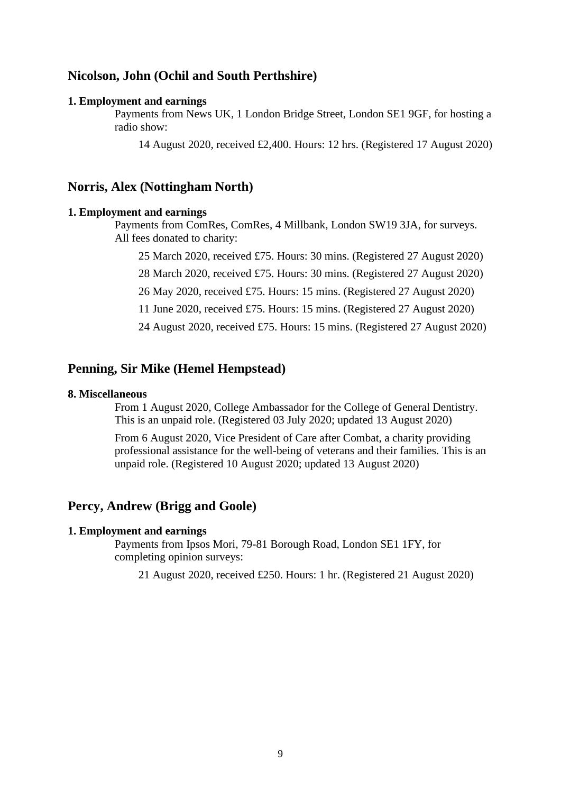# **Nicolson, John (Ochil and South Perthshire)**

#### **1. Employment and earnings**

Payments from News UK, 1 London Bridge Street, London SE1 9GF, for hosting a radio show:

14 August 2020, received £2,400. Hours: 12 hrs. (Registered 17 August 2020)

# **Norris, Alex (Nottingham North)**

### **1. Employment and earnings**

Payments from ComRes, ComRes, 4 Millbank, London SW19 3JA, for surveys. All fees donated to charity:

25 March 2020, received £75. Hours: 30 mins. (Registered 27 August 2020)

28 March 2020, received £75. Hours: 30 mins. (Registered 27 August 2020)

26 May 2020, received £75. Hours: 15 mins. (Registered 27 August 2020)

11 June 2020, received £75. Hours: 15 mins. (Registered 27 August 2020)

24 August 2020, received £75. Hours: 15 mins. (Registered 27 August 2020)

# **Penning, Sir Mike (Hemel Hempstead)**

### **8. Miscellaneous**

From 1 August 2020, College Ambassador for the College of General Dentistry. This is an unpaid role. (Registered 03 July 2020; updated 13 August 2020)

From 6 August 2020, Vice President of Care after Combat, a charity providing professional assistance for the well-being of veterans and their families. This is an unpaid role. (Registered 10 August 2020; updated 13 August 2020)

# **Percy, Andrew (Brigg and Goole)**

#### **1. Employment and earnings**

Payments from Ipsos Mori, 79-81 Borough Road, London SE1 1FY, for completing opinion surveys:

21 August 2020, received £250. Hours: 1 hr. (Registered 21 August 2020)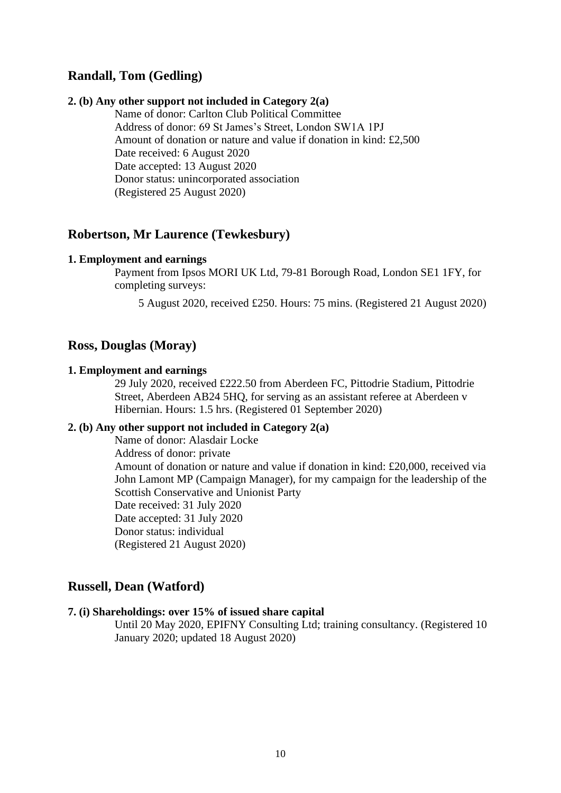# **Randall, Tom (Gedling)**

### **2. (b) Any other support not included in Category 2(a)**

Name of donor: Carlton Club Political Committee Address of donor: 69 St James's Street, London SW1A 1PJ Amount of donation or nature and value if donation in kind: £2,500 Date received: 6 August 2020 Date accepted: 13 August 2020 Donor status: unincorporated association (Registered 25 August 2020)

# **Robertson, Mr Laurence (Tewkesbury)**

### **1. Employment and earnings**

Payment from Ipsos MORI UK Ltd, 79-81 Borough Road, London SE1 1FY, for completing surveys:

5 August 2020, received £250. Hours: 75 mins. (Registered 21 August 2020)

# **Ross, Douglas (Moray)**

#### **1. Employment and earnings**

29 July 2020, received £222.50 from Aberdeen FC, Pittodrie Stadium, Pittodrie Street, Aberdeen AB24 5HQ, for serving as an assistant referee at Aberdeen v Hibernian. Hours: 1.5 hrs. (Registered 01 September 2020)

# **2. (b) Any other support not included in Category 2(a)**

Name of donor: Alasdair Locke Address of donor: private Amount of donation or nature and value if donation in kind: £20,000, received via John Lamont MP (Campaign Manager), for my campaign for the leadership of the Scottish Conservative and Unionist Party Date received: 31 July 2020 Date accepted: 31 July 2020 Donor status: individual (Registered 21 August 2020)

# **Russell, Dean (Watford)**

#### **7. (i) Shareholdings: over 15% of issued share capital**

Until 20 May 2020, EPIFNY Consulting Ltd; training consultancy. (Registered 10 January 2020; updated 18 August 2020)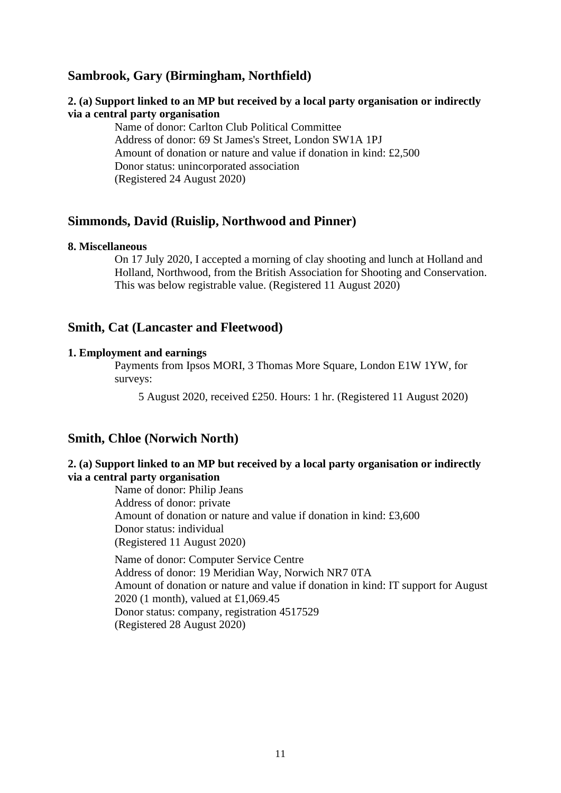# **Sambrook, Gary (Birmingham, Northfield)**

## **2. (a) Support linked to an MP but received by a local party organisation or indirectly via a central party organisation**

Name of donor: Carlton Club Political Committee Address of donor: 69 St James's Street, London SW1A 1PJ Amount of donation or nature and value if donation in kind: £2,500 Donor status: unincorporated association (Registered 24 August 2020)

## **Simmonds, David (Ruislip, Northwood and Pinner)**

#### **8. Miscellaneous**

On 17 July 2020, I accepted a morning of clay shooting and lunch at Holland and Holland, Northwood, from the British Association for Shooting and Conservation. This was below registrable value. (Registered 11 August 2020)

# **Smith, Cat (Lancaster and Fleetwood)**

#### **1. Employment and earnings**

Payments from Ipsos MORI, 3 Thomas More Square, London E1W 1YW, for surveys:

5 August 2020, received £250. Hours: 1 hr. (Registered 11 August 2020)

# **Smith, Chloe (Norwich North)**

# **2. (a) Support linked to an MP but received by a local party organisation or indirectly via a central party organisation**

Name of donor: Philip Jeans Address of donor: private Amount of donation or nature and value if donation in kind: £3,600 Donor status: individual (Registered 11 August 2020) Name of donor: Computer Service Centre Address of donor: 19 Meridian Way, Norwich NR7 0TA Amount of donation or nature and value if donation in kind: IT support for August 2020 (1 month), valued at £1,069.45

Donor status: company, registration 4517529 (Registered 28 August 2020)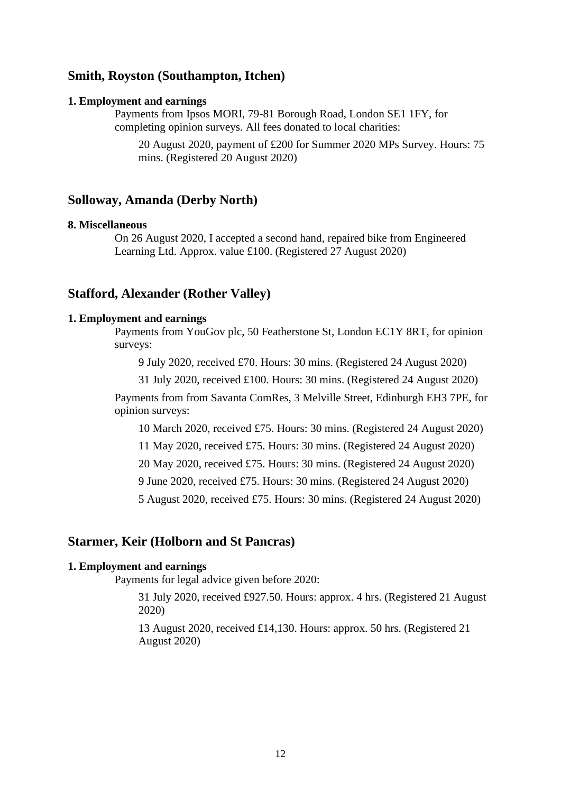# **Smith, Royston (Southampton, Itchen)**

#### **1. Employment and earnings**

Payments from Ipsos MORI, 79-81 Borough Road, London SE1 1FY, for completing opinion surveys. All fees donated to local charities:

20 August 2020, payment of £200 for Summer 2020 MPs Survey. Hours: 75 mins. (Registered 20 August 2020)

## **Solloway, Amanda (Derby North)**

#### **8. Miscellaneous**

On 26 August 2020, I accepted a second hand, repaired bike from Engineered Learning Ltd. Approx. value £100. (Registered 27 August 2020)

# **Stafford, Alexander (Rother Valley)**

### **1. Employment and earnings**

Payments from YouGov plc, 50 Featherstone St, London EC1Y 8RT, for opinion surveys:

9 July 2020, received £70. Hours: 30 mins. (Registered 24 August 2020)

31 July 2020, received £100. Hours: 30 mins. (Registered 24 August 2020)

Payments from from Savanta ComRes, 3 Melville Street, Edinburgh EH3 7PE, for opinion surveys:

10 March 2020, received £75. Hours: 30 mins. (Registered 24 August 2020)

11 May 2020, received £75. Hours: 30 mins. (Registered 24 August 2020)

20 May 2020, received £75. Hours: 30 mins. (Registered 24 August 2020)

9 June 2020, received £75. Hours: 30 mins. (Registered 24 August 2020)

5 August 2020, received £75. Hours: 30 mins. (Registered 24 August 2020)

# **Starmer, Keir (Holborn and St Pancras)**

#### **1. Employment and earnings**

Payments for legal advice given before 2020:

31 July 2020, received £927.50. Hours: approx. 4 hrs. (Registered 21 August 2020)

13 August 2020, received £14,130. Hours: approx. 50 hrs. (Registered 21 August 2020)